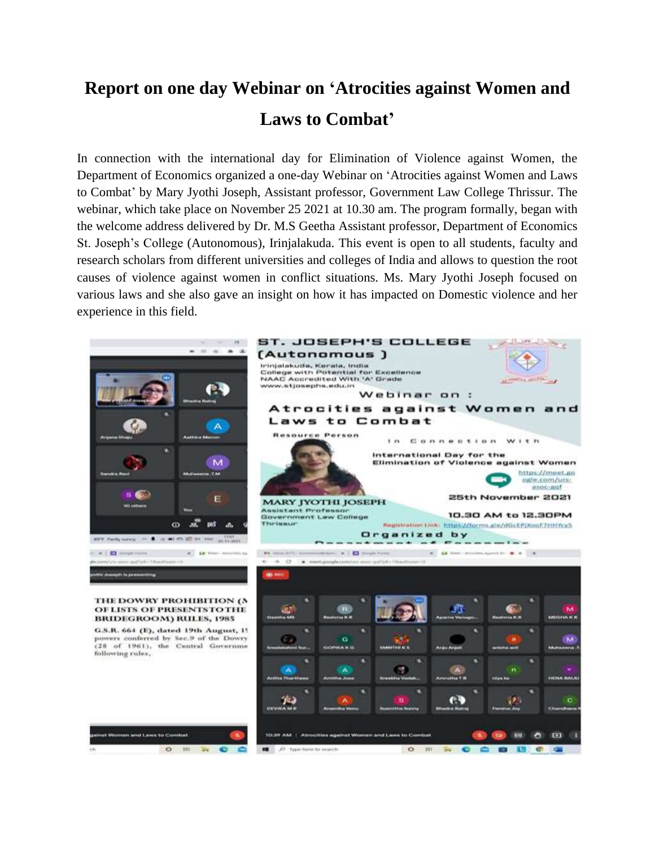## **Report on one day Webinar on 'Atrocities against Women and Laws to Combat'**

In connection with the international day for Elimination of Violence against Women, the Department of Economics organized a one-day Webinar on 'Atrocities against Women and Laws to Combat' by Mary Jyothi Joseph, Assistant professor, Government Law College Thrissur. The webinar, which take place on November 25 2021 at 10.30 am. The program formally, began with the welcome address delivered by Dr. M.S Geetha Assistant professor, Department of Economics St. Joseph's College (Autonomous), Irinjalakuda. This event is open to all students, faculty and research scholars from different universities and colleges of India and allows to question the root causes of violence against women in conflict situations. Ms. Mary Jyothi Joseph focused on various laws and she also gave an insight on how it has impacted on Domestic violence and her experience in this field.